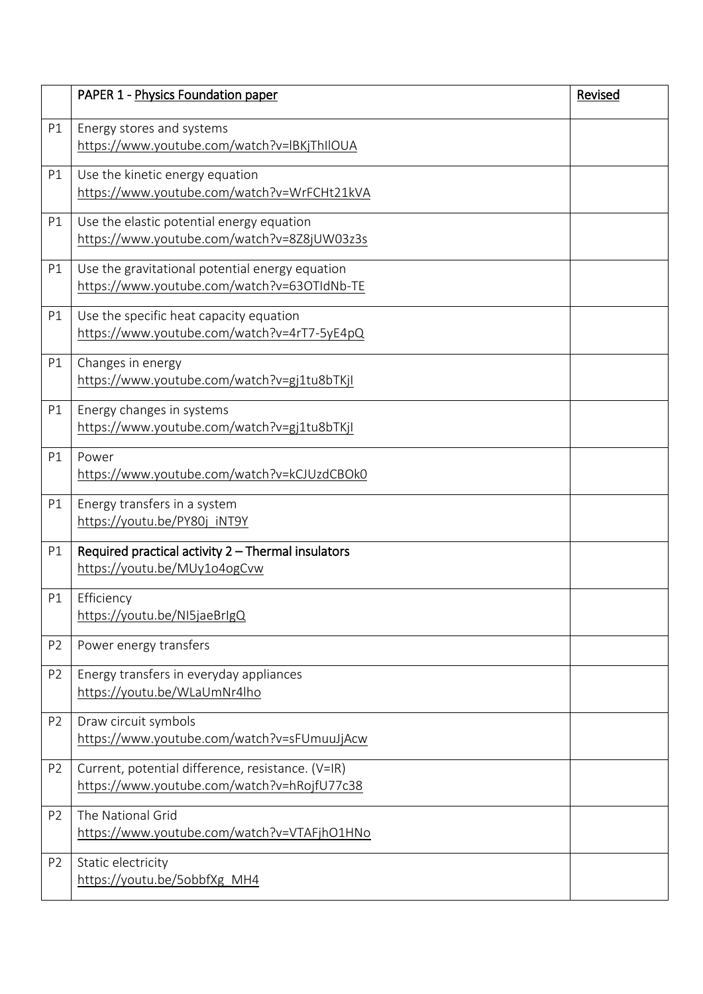|                | PAPER 1 - Physics Foundation paper                                                               | Revised |
|----------------|--------------------------------------------------------------------------------------------------|---------|
| P1             | Energy stores and systems<br>https://www.youtube.com/watch?v=lBKjThIlOUA                         |         |
| P1             | Use the kinetic energy equation<br>https://www.youtube.com/watch?v=WrFCHt21kVA                   |         |
| P1             | Use the elastic potential energy equation<br>https://www.youtube.com/watch?v=8Z8jUW03z3s         |         |
| P1             | Use the gravitational potential energy equation<br>https://www.youtube.com/watch?v=63OTIdNb-TE   |         |
| P1             | Use the specific heat capacity equation<br>https://www.youtube.com/watch?v=4rT7-5yE4pQ           |         |
| P1             | Changes in energy<br>https://www.youtube.com/watch?v=gj1tu8bTKjI                                 |         |
| P1             | Energy changes in systems<br>https://www.youtube.com/watch?v=gj1tu8bTKjl                         |         |
| P1             | Power<br>https://www.youtube.com/watch?v=kCJUzdCBOk0                                             |         |
| P1             | Energy transfers in a system<br>https://youtu.be/PY80j iNT9Y                                     |         |
| P1             | Required practical activity 2 - Thermal insulators<br>https://youtu.be/MUy1o4ogCvw               |         |
| P1             | Efficiency<br>https://youtu.be/NI5jaeBrIgQ                                                       |         |
| P <sub>2</sub> | Power energy transfers                                                                           |         |
| P <sub>2</sub> | Energy transfers in everyday appliances<br>https://youtu.be/WLaUmNr4lho                          |         |
| P <sub>2</sub> | Draw circuit symbols<br>https://www.youtube.com/watch?v=sFUmuuJjAcw                              |         |
| P <sub>2</sub> | Current, potential difference, resistance. (V=IR)<br>https://www.youtube.com/watch?v=hRojfU77c38 |         |
| P <sub>2</sub> | The National Grid<br>https://www.youtube.com/watch?v=VTAFjhO1HNo                                 |         |
| P <sub>2</sub> | Static electricity<br>https://youtu.be/5obbfXg MH4                                               |         |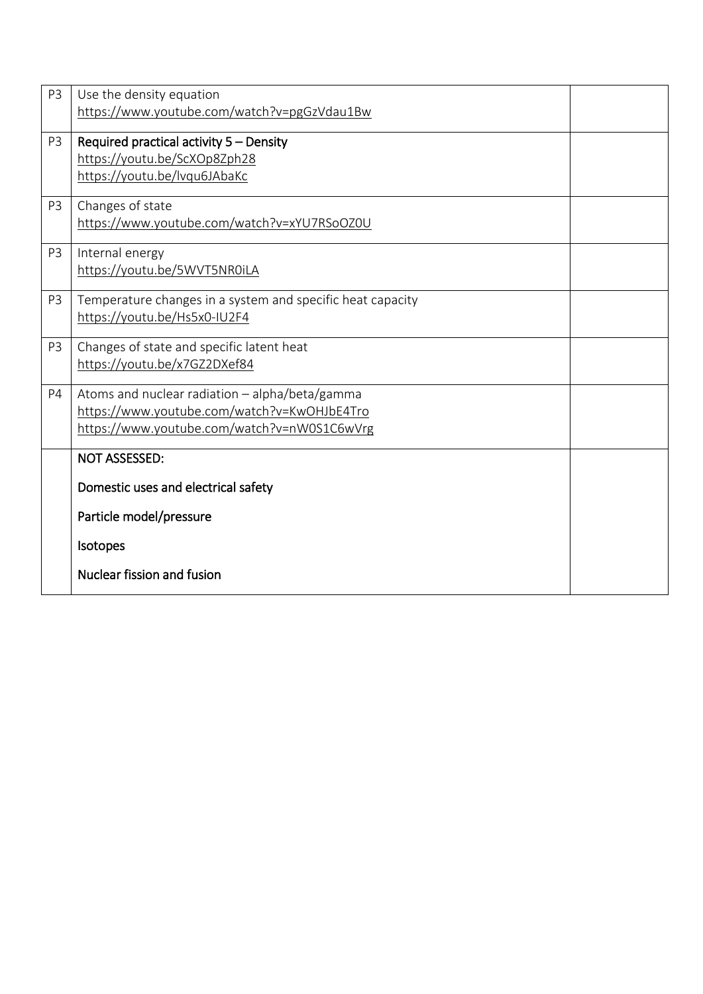| P <sub>3</sub> | Use the density equation<br>https://www.youtube.com/watch?v=pgGzVdau1Bw                                                                      |  |
|----------------|----------------------------------------------------------------------------------------------------------------------------------------------|--|
| P <sub>3</sub> | Required practical activity 5 - Density<br>https://youtu.be/ScXOp8Zph28<br>https://youtu.be/lvqu6JAbaKc                                      |  |
| P <sub>3</sub> | Changes of state<br>https://www.youtube.com/watch?v=xYU7RSoOZ0U                                                                              |  |
| P <sub>3</sub> | Internal energy<br>https://youtu.be/5WVT5NR0iLA                                                                                              |  |
| P <sub>3</sub> | Temperature changes in a system and specific heat capacity<br>https://youtu.be/Hs5x0-IU2F4                                                   |  |
| P <sub>3</sub> | Changes of state and specific latent heat<br>https://youtu.be/x7GZ2DXef84                                                                    |  |
| P4             | Atoms and nuclear radiation - alpha/beta/gamma<br>https://www.youtube.com/watch?v=KwOHJbE4Tro<br>https://www.youtube.com/watch?v=nW0S1C6wVrg |  |
|                | <b>NOT ASSESSED:</b>                                                                                                                         |  |
|                | Domestic uses and electrical safety                                                                                                          |  |
|                | Particle model/pressure                                                                                                                      |  |
|                | Isotopes                                                                                                                                     |  |
|                | Nuclear fission and fusion                                                                                                                   |  |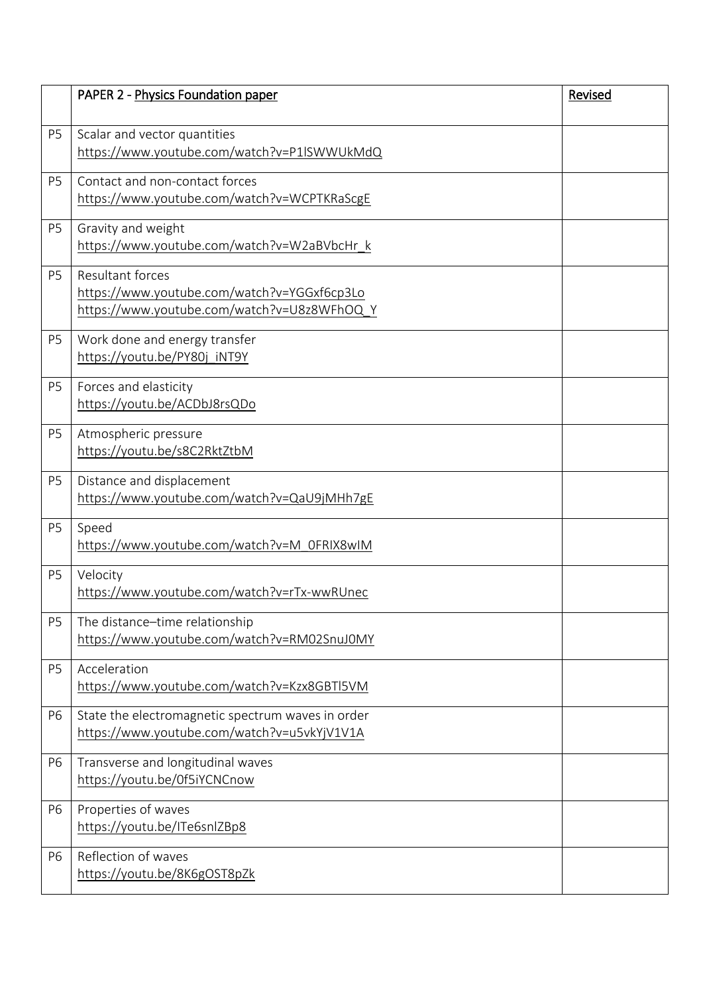|                | PAPER 2 - Physics Foundation paper                                                                                    | Revised |
|----------------|-----------------------------------------------------------------------------------------------------------------------|---------|
| P <sub>5</sub> | Scalar and vector quantities<br>https://www.youtube.com/watch?v=P1lSWWUkMdQ                                           |         |
| P <sub>5</sub> | Contact and non-contact forces<br>https://www.youtube.com/watch?v=WCPTKRaScgE                                         |         |
| P <sub>5</sub> | Gravity and weight<br>https://www.youtube.com/watch?v=W2aBVbcHr k                                                     |         |
| P <sub>5</sub> | <b>Resultant forces</b><br>https://www.youtube.com/watch?v=YGGxf6cp3Lo<br>https://www.youtube.com/watch?v=U8z8WFhOQ Y |         |
| P <sub>5</sub> | Work done and energy transfer<br>https://youtu.be/PY80j iNT9Y                                                         |         |
| P <sub>5</sub> | Forces and elasticity<br>https://youtu.be/ACDbJ8rsQDo                                                                 |         |
| P <sub>5</sub> | Atmospheric pressure<br>https://youtu.be/s8C2RktZtbM                                                                  |         |
| P <sub>5</sub> | Distance and displacement<br>https://www.youtube.com/watch?v=QaU9jMHh7gE                                              |         |
| P <sub>5</sub> | Speed<br>https://www.youtube.com/watch?v=M_0FRIX8wIM                                                                  |         |
| P <sub>5</sub> | Velocity<br>https://www.youtube.com/watch?v=rTx-wwRUnec                                                               |         |
| P <sub>5</sub> | The distance-time relationship<br>https://www.youtube.com/watch?v=RM02SnuJ0MY                                         |         |
| P <sub>5</sub> | Acceleration<br>https://www.youtube.com/watch?v=Kzx8GBTl5VM                                                           |         |
| P6             | State the electromagnetic spectrum waves in order<br>https://www.youtube.com/watch?v=u5vkYjV1V1A                      |         |
| P6             | Transverse and longitudinal waves<br>https://youtu.be/0f5iYCNCnow                                                     |         |
| P <sub>6</sub> | Properties of waves<br>https://youtu.be/ITe6snlZBp8                                                                   |         |
| P6             | Reflection of waves<br>https://youtu.be/8K6gOST8pZk                                                                   |         |